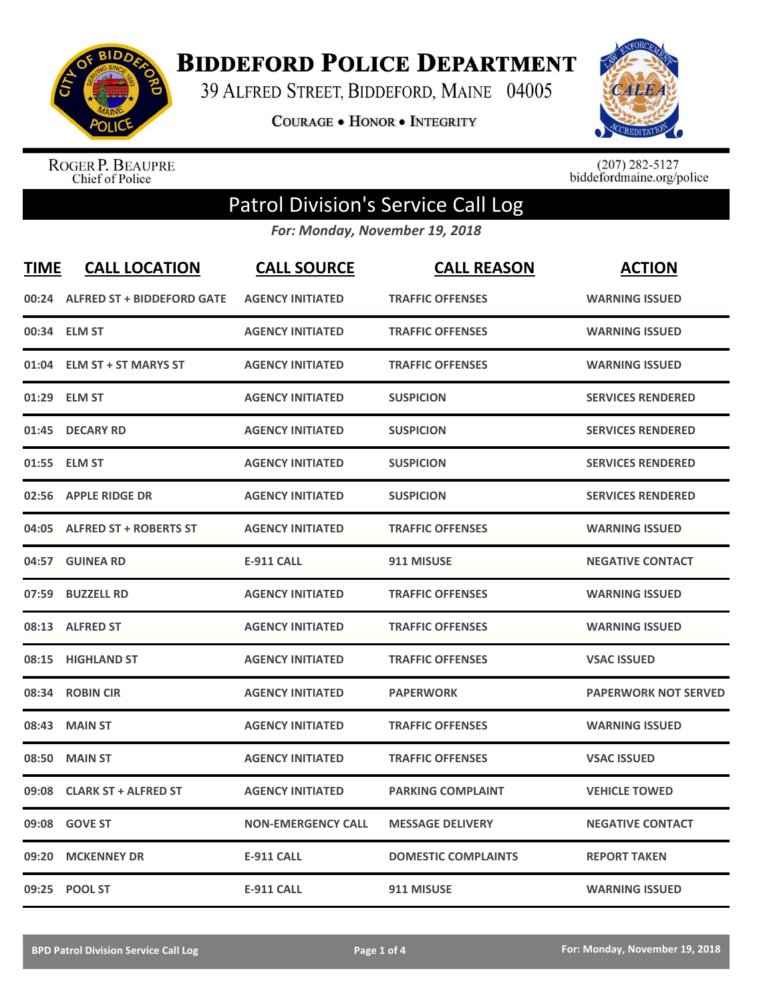

**BIDDEFORD POLICE DEPARTMENT** 

39 ALFRED STREET, BIDDEFORD, MAINE 04005

**COURAGE . HONOR . INTEGRITY** 



ROGER P. BEAUPRE<br>Chief of Police

 $(207)$  282-5127<br>biddefordmaine.org/police

## Patrol Division's Service Call Log

*For: Monday, November 19, 2018*

| <b>TIME</b> | <b>CALL LOCATION</b>              | <b>CALL SOURCE</b>        | <b>CALL REASON</b>         | <b>ACTION</b>               |
|-------------|-----------------------------------|---------------------------|----------------------------|-----------------------------|
| 00:24       | <b>ALFRED ST + BIDDEFORD GATE</b> | <b>AGENCY INITIATED</b>   | <b>TRAFFIC OFFENSES</b>    | <b>WARNING ISSUED</b>       |
|             | 00:34 ELM ST                      | <b>AGENCY INITIATED</b>   | <b>TRAFFIC OFFENSES</b>    | <b>WARNING ISSUED</b>       |
| 01:04       | <b>ELM ST + ST MARYS ST</b>       | <b>AGENCY INITIATED</b>   | <b>TRAFFIC OFFENSES</b>    | <b>WARNING ISSUED</b>       |
|             | 01:29 ELM ST                      | <b>AGENCY INITIATED</b>   | <b>SUSPICION</b>           | <b>SERVICES RENDERED</b>    |
| 01:45       | <b>DECARY RD</b>                  | <b>AGENCY INITIATED</b>   | <b>SUSPICION</b>           | <b>SERVICES RENDERED</b>    |
| 01:55       | <b>ELM ST</b>                     | <b>AGENCY INITIATED</b>   | <b>SUSPICION</b>           | <b>SERVICES RENDERED</b>    |
|             | 02:56 APPLE RIDGE DR              | <b>AGENCY INITIATED</b>   | <b>SUSPICION</b>           | <b>SERVICES RENDERED</b>    |
| 04:05       | <b>ALFRED ST + ROBERTS ST</b>     | <b>AGENCY INITIATED</b>   | <b>TRAFFIC OFFENSES</b>    | <b>WARNING ISSUED</b>       |
| 04:57       | <b>GUINEA RD</b>                  | <b>E-911 CALL</b>         | 911 MISUSE                 | <b>NEGATIVE CONTACT</b>     |
| 07:59       | <b>BUZZELL RD</b>                 | <b>AGENCY INITIATED</b>   | <b>TRAFFIC OFFENSES</b>    | <b>WARNING ISSUED</b>       |
|             | 08:13 ALFRED ST                   | <b>AGENCY INITIATED</b>   | <b>TRAFFIC OFFENSES</b>    | <b>WARNING ISSUED</b>       |
| 08:15       | <b>HIGHLAND ST</b>                | <b>AGENCY INITIATED</b>   | <b>TRAFFIC OFFENSES</b>    | <b>VSAC ISSUED</b>          |
| 08:34       | <b>ROBIN CIR</b>                  | <b>AGENCY INITIATED</b>   | <b>PAPERWORK</b>           | <b>PAPERWORK NOT SERVED</b> |
| 08:43       | <b>MAIN ST</b>                    | <b>AGENCY INITIATED</b>   | <b>TRAFFIC OFFENSES</b>    | <b>WARNING ISSUED</b>       |
| 08:50       | <b>MAIN ST</b>                    | <b>AGENCY INITIATED</b>   | <b>TRAFFIC OFFENSES</b>    | <b>VSAC ISSUED</b>          |
| 09:08       | <b>CLARK ST + ALFRED ST</b>       | <b>AGENCY INITIATED</b>   | <b>PARKING COMPLAINT</b>   | <b>VEHICLE TOWED</b>        |
| 09:08       | <b>GOVE ST</b>                    | <b>NON-EMERGENCY CALL</b> | <b>MESSAGE DELIVERY</b>    | <b>NEGATIVE CONTACT</b>     |
| 09:20       | <b>MCKENNEY DR</b>                | <b>E-911 CALL</b>         | <b>DOMESTIC COMPLAINTS</b> | <b>REPORT TAKEN</b>         |
|             | 09:25 POOL ST                     | <b>E-911 CALL</b>         | 911 MISUSE                 | <b>WARNING ISSUED</b>       |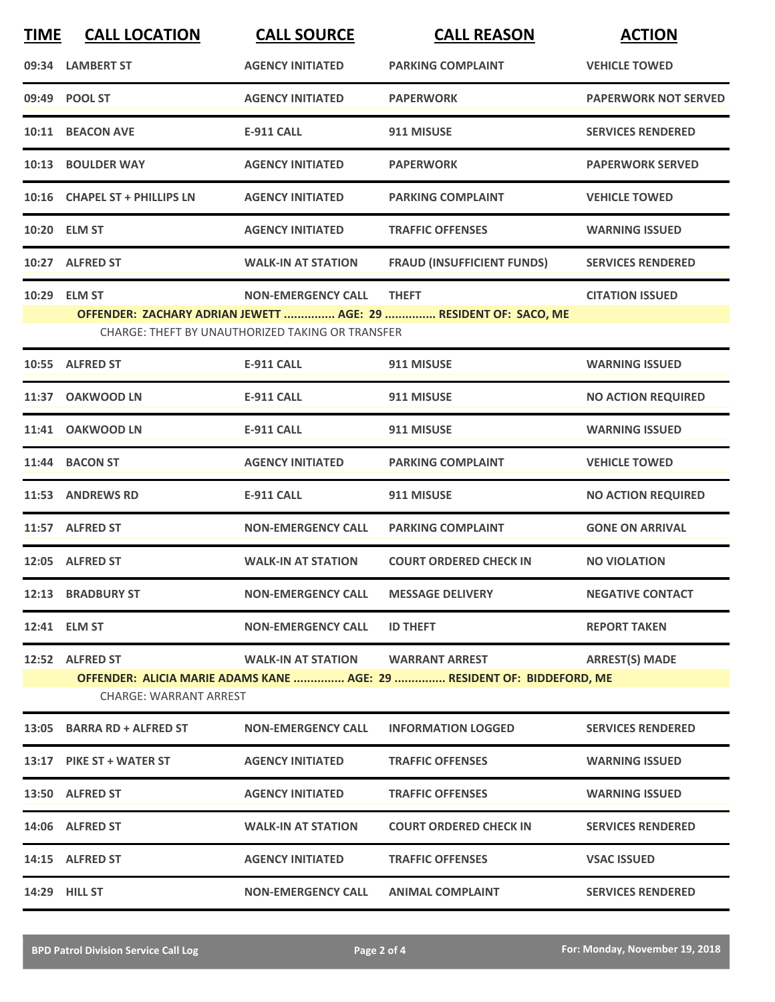| <b>TIME</b> | <b>CALL LOCATION</b>                             | <b>CALL SOURCE</b>                                                                   | <b>CALL REASON</b>                                                                       | <b>ACTION</b>               |
|-------------|--------------------------------------------------|--------------------------------------------------------------------------------------|------------------------------------------------------------------------------------------|-----------------------------|
|             | 09:34 LAMBERT ST                                 | <b>AGENCY INITIATED</b>                                                              | <b>PARKING COMPLAINT</b>                                                                 | <b>VEHICLE TOWED</b>        |
|             | 09:49 POOL ST                                    | <b>AGENCY INITIATED</b>                                                              | <b>PAPERWORK</b>                                                                         | <b>PAPERWORK NOT SERVED</b> |
|             | 10:11 BEACON AVE                                 | <b>E-911 CALL</b>                                                                    | 911 MISUSE                                                                               | <b>SERVICES RENDERED</b>    |
|             | 10:13 BOULDER WAY                                | <b>AGENCY INITIATED</b>                                                              | <b>PAPERWORK</b>                                                                         | <b>PAPERWORK SERVED</b>     |
|             | 10:16 CHAPEL ST + PHILLIPS LN                    | <b>AGENCY INITIATED</b>                                                              | <b>PARKING COMPLAINT</b>                                                                 | <b>VEHICLE TOWED</b>        |
|             | 10:20 ELM ST                                     | <b>AGENCY INITIATED</b>                                                              | <b>TRAFFIC OFFENSES</b>                                                                  | <b>WARNING ISSUED</b>       |
|             | 10:27 ALFRED ST                                  | <b>WALK-IN AT STATION</b>                                                            | <b>FRAUD (INSUFFICIENT FUNDS)</b>                                                        | <b>SERVICES RENDERED</b>    |
|             | 10:29 ELM ST                                     | <b>NON-EMERGENCY CALL</b><br><b>CHARGE: THEFT BY UNAUTHORIZED TAKING OR TRANSFER</b> | <b>THEFT</b><br>OFFENDER: ZACHARY ADRIAN JEWETT  AGE: 29  RESIDENT OF: SACO, ME          | <b>CITATION ISSUED</b>      |
|             | 10:55 ALFRED ST                                  | <b>E-911 CALL</b>                                                                    | 911 MISUSE                                                                               | <b>WARNING ISSUED</b>       |
|             | 11:37 OAKWOOD LN                                 | <b>E-911 CALL</b>                                                                    | 911 MISUSE                                                                               | <b>NO ACTION REQUIRED</b>   |
|             | 11:41 OAKWOOD LN                                 | <b>E-911 CALL</b>                                                                    | 911 MISUSE                                                                               | <b>WARNING ISSUED</b>       |
|             | 11:44 BACON ST                                   | <b>AGENCY INITIATED</b>                                                              | <b>PARKING COMPLAINT</b>                                                                 | <b>VEHICLE TOWED</b>        |
|             | 11:53 ANDREWS RD                                 | <b>E-911 CALL</b>                                                                    | 911 MISUSE                                                                               | <b>NO ACTION REQUIRED</b>   |
|             | 11:57 ALFRED ST                                  | <b>NON-EMERGENCY CALL</b>                                                            | <b>PARKING COMPLAINT</b>                                                                 | <b>GONE ON ARRIVAL</b>      |
|             | 12:05 ALFRED ST                                  | <b>WALK-IN AT STATION</b>                                                            | <b>COURT ORDERED CHECK IN</b>                                                            | <b>NO VIOLATION</b>         |
|             | 12:13 BRADBURY ST                                | <b>NON-EMERGENCY CALL</b>                                                            | <b>MESSAGE DELIVERY</b>                                                                  | <b>NEGATIVE CONTACT</b>     |
|             | 12:41 ELM ST                                     | <b>NON-EMERGENCY CALL</b>                                                            | <b>ID THEFT</b>                                                                          | <b>REPORT TAKEN</b>         |
|             | 12:52 ALFRED ST<br><b>CHARGE: WARRANT ARREST</b> | <b>WALK-IN AT STATION</b>                                                            | WARRANT ARREST<br>OFFENDER: ALICIA MARIE ADAMS KANE  AGE: 29  RESIDENT OF: BIDDEFORD, ME | <b>ARREST(S) MADE</b>       |
|             | 13:05 BARRA RD + ALFRED ST                       | <b>NON-EMERGENCY CALL</b>                                                            | <b>INFORMATION LOGGED</b>                                                                | <b>SERVICES RENDERED</b>    |
|             | 13:17 PIKE ST + WATER ST                         | <b>AGENCY INITIATED</b>                                                              | <b>TRAFFIC OFFENSES</b>                                                                  | <b>WARNING ISSUED</b>       |
|             | 13:50 ALFRED ST                                  | <b>AGENCY INITIATED</b>                                                              | <b>TRAFFIC OFFENSES</b>                                                                  | <b>WARNING ISSUED</b>       |
|             | 14:06 ALFRED ST                                  | <b>WALK-IN AT STATION</b>                                                            | <b>COURT ORDERED CHECK IN</b>                                                            | <b>SERVICES RENDERED</b>    |
|             | 14:15 ALFRED ST                                  | <b>AGENCY INITIATED</b>                                                              | <b>TRAFFIC OFFENSES</b>                                                                  | <b>VSAC ISSUED</b>          |
|             | 14:29 HILL ST                                    | NON-EMERGENCY CALL ANIMAL COMPLAINT                                                  |                                                                                          | <b>SERVICES RENDERED</b>    |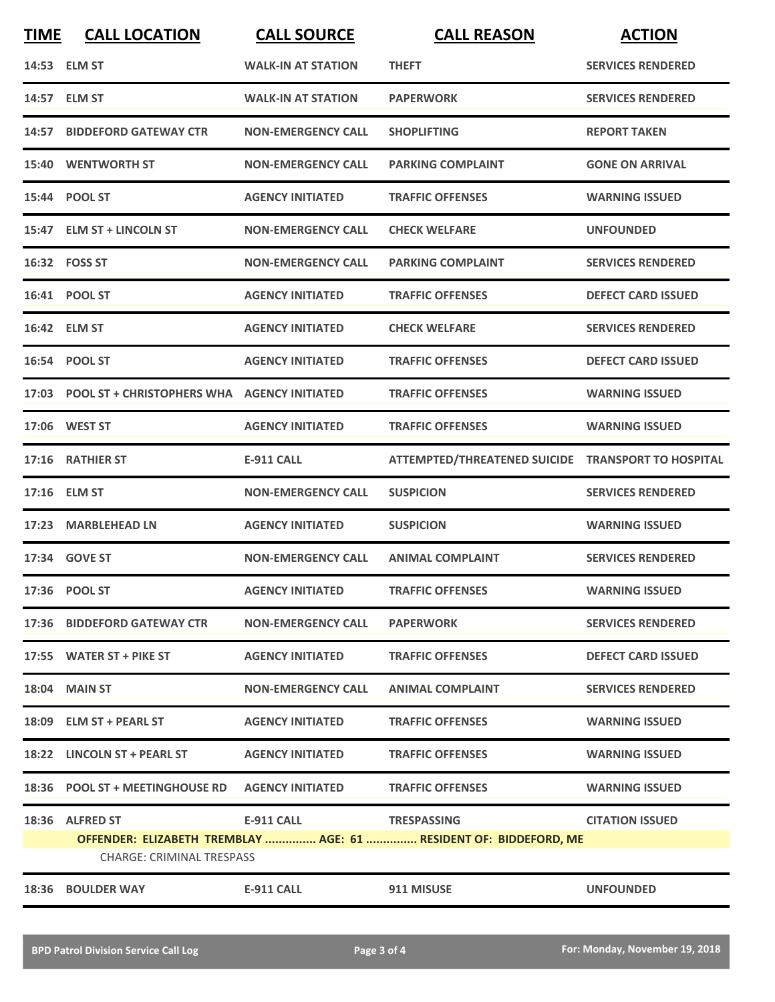| <b>TIME</b>                                                                                    | <b>CALL LOCATION</b>                                | <b>CALL SOURCE</b>        | <b>CALL REASON</b>                                 | <b>ACTION</b>             |
|------------------------------------------------------------------------------------------------|-----------------------------------------------------|---------------------------|----------------------------------------------------|---------------------------|
|                                                                                                | 14:53 ELM ST                                        | <b>WALK-IN AT STATION</b> | <b>THEFT</b>                                       | <b>SERVICES RENDERED</b>  |
|                                                                                                | 14:57 ELM ST                                        | <b>WALK-IN AT STATION</b> | <b>PAPERWORK</b>                                   | <b>SERVICES RENDERED</b>  |
| 14:57                                                                                          | <b>BIDDEFORD GATEWAY CTR</b>                        | <b>NON-EMERGENCY CALL</b> | <b>SHOPLIFTING</b>                                 | <b>REPORT TAKEN</b>       |
|                                                                                                | <b>15:40 WENTWORTH ST</b>                           | <b>NON-EMERGENCY CALL</b> | <b>PARKING COMPLAINT</b>                           | <b>GONE ON ARRIVAL</b>    |
|                                                                                                | 15:44 POOL ST                                       | <b>AGENCY INITIATED</b>   | <b>TRAFFIC OFFENSES</b>                            | <b>WARNING ISSUED</b>     |
|                                                                                                | 15:47 ELM ST + LINCOLN ST                           | <b>NON-EMERGENCY CALL</b> | <b>CHECK WELFARE</b>                               | <b>UNFOUNDED</b>          |
|                                                                                                | 16:32 FOSS ST                                       | <b>NON-EMERGENCY CALL</b> | <b>PARKING COMPLAINT</b>                           | <b>SERVICES RENDERED</b>  |
|                                                                                                | 16:41 POOL ST                                       | <b>AGENCY INITIATED</b>   | <b>TRAFFIC OFFENSES</b>                            | <b>DEFECT CARD ISSUED</b> |
|                                                                                                | 16:42 ELM ST                                        | <b>AGENCY INITIATED</b>   | <b>CHECK WELFARE</b>                               | <b>SERVICES RENDERED</b>  |
|                                                                                                | 16:54 POOL ST                                       | <b>AGENCY INITIATED</b>   | <b>TRAFFIC OFFENSES</b>                            | <b>DEFECT CARD ISSUED</b> |
|                                                                                                | 17:03 POOL ST + CHRISTOPHERS WHA AGENCY INITIATED   |                           | <b>TRAFFIC OFFENSES</b>                            | <b>WARNING ISSUED</b>     |
|                                                                                                | 17:06 WEST ST                                       | <b>AGENCY INITIATED</b>   | <b>TRAFFIC OFFENSES</b>                            | <b>WARNING ISSUED</b>     |
|                                                                                                | 17:16 RATHIER ST                                    | <b>E-911 CALL</b>         | ATTEMPTED/THREATENED SUICIDE TRANSPORT TO HOSPITAL |                           |
|                                                                                                | 17:16 ELM ST                                        | <b>NON-EMERGENCY CALL</b> | <b>SUSPICION</b>                                   | <b>SERVICES RENDERED</b>  |
| 17:23                                                                                          | <b>MARBLEHEAD LN</b>                                | <b>AGENCY INITIATED</b>   | <b>SUSPICION</b>                                   | <b>WARNING ISSUED</b>     |
|                                                                                                | 17:34 GOVE ST                                       | <b>NON-EMERGENCY CALL</b> | <b>ANIMAL COMPLAINT</b>                            | <b>SERVICES RENDERED</b>  |
|                                                                                                | 17:36 POOL ST                                       | <b>AGENCY INITIATED</b>   | <b>TRAFFIC OFFENSES</b>                            | <b>WARNING ISSUED</b>     |
|                                                                                                | 17:36 BIDDEFORD GATEWAY CTR                         | <b>NON-EMERGENCY CALL</b> | <b>PAPERWORK</b>                                   | <b>SERVICES RENDERED</b>  |
|                                                                                                | 17:55 WATER ST + PIKE ST                            | <b>AGENCY INITIATED</b>   | <b>TRAFFIC OFFENSES</b>                            | <b>DEFECT CARD ISSUED</b> |
|                                                                                                | <b>18:04 MAIN ST</b>                                | <b>NON-EMERGENCY CALL</b> | <b>ANIMAL COMPLAINT</b>                            | <b>SERVICES RENDERED</b>  |
|                                                                                                | 18:09 ELM ST + PEARL ST                             | <b>AGENCY INITIATED</b>   | <b>TRAFFIC OFFENSES</b>                            | <b>WARNING ISSUED</b>     |
|                                                                                                | 18:22 LINCOLN ST + PEARL ST                         | <b>AGENCY INITIATED</b>   | <b>TRAFFIC OFFENSES</b>                            | <b>WARNING ISSUED</b>     |
|                                                                                                | 18:36 POOL ST + MEETINGHOUSE RD    AGENCY INITIATED |                           | <b>TRAFFIC OFFENSES</b>                            | <b>WARNING ISSUED</b>     |
|                                                                                                | 18:36 ALFRED ST                                     | E-911 CALL                | <b>TRESPASSING</b>                                 | <b>CITATION ISSUED</b>    |
| OFFENDER: ELIZABETH TREMBLAY  AGE: 61  RESIDENT OF: BIDDEFORD, ME<br>CHARGE: CRIMINAL TRESPASS |                                                     |                           |                                                    |                           |
|                                                                                                | <b>18:36 BOULDER WAY</b>                            | <b>E-911 CALL</b>         | 911 MISUSE                                         | <b>UNFOUNDED</b>          |